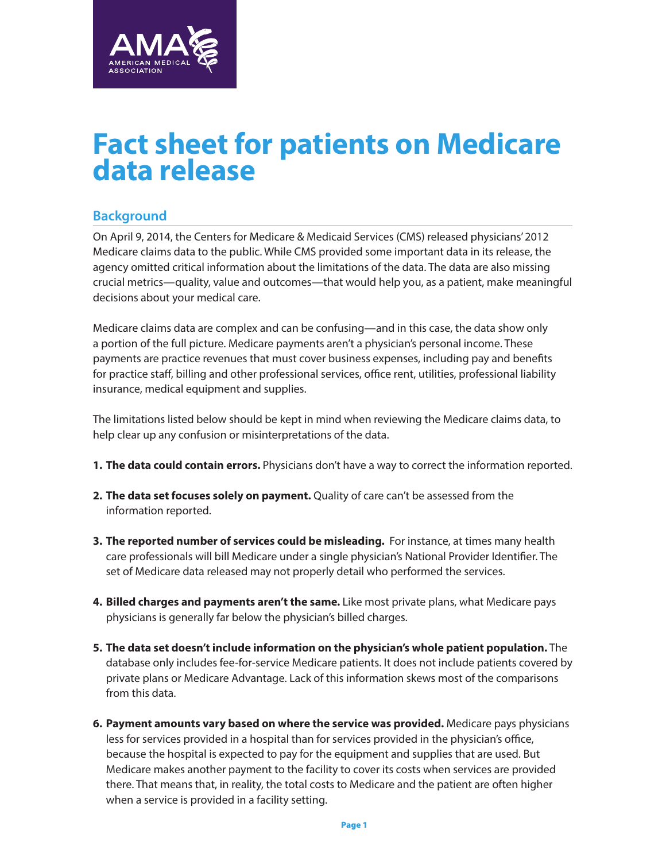

## **Fact sheet for patients on Medicare data release**

## **Background**

On April 9, 2014, the Centers for Medicare & Medicaid Services (CMS) released physicians' 2012 Medicare claims data to the public. While CMS provided some important data in its release, the agency omitted critical information about the limitations of the data. The data are also missing crucial metrics—quality, value and outcomes—that would help you, as a patient, make meaningful decisions about your medical care.

Medicare claims data are complex and can be confusing—and in this case, the data show only a portion of the full picture. Medicare payments aren't a physician's personal income. These payments are practice revenues that must cover business expenses, including pay and benefits for practice staff, billing and other professional services, office rent, utilities, professional liability insurance, medical equipment and supplies.

The limitations listed below should be kept in mind when reviewing the Medicare claims data, to help clear up any confusion or misinterpretations of the data.

- **1. The data could contain errors.** Physicians don't have a way to correct the information reported.
- **2. The data set focuses solely on payment.** Quality of care can't be assessed from the information reported.
- **3. The reported number of services could be misleading.**  For instance, at times many health care professionals will bill Medicare under a single physician's National Provider Identifier. The set of Medicare data released may not properly detail who performed the services.
- **4. Billed charges and payments aren't the same.** Like most private plans, what Medicare pays physicians is generally far below the physician's billed charges.
- **5. The data set doesn't include information on the physician's whole patient population.** The database only includes fee-for-service Medicare patients. It does not include patients covered by private plans or Medicare Advantage. Lack of this information skews most of the comparisons from this data.
- **6. Payment amounts vary based on where the service was provided.** Medicare pays physicians less for services provided in a hospital than for services provided in the physician's office, because the hospital is expected to pay for the equipment and supplies that are used. But Medicare makes another payment to the facility to cover its costs when services are provided there. That means that, in reality, the total costs to Medicare and the patient are often higher when a service is provided in a facility setting.